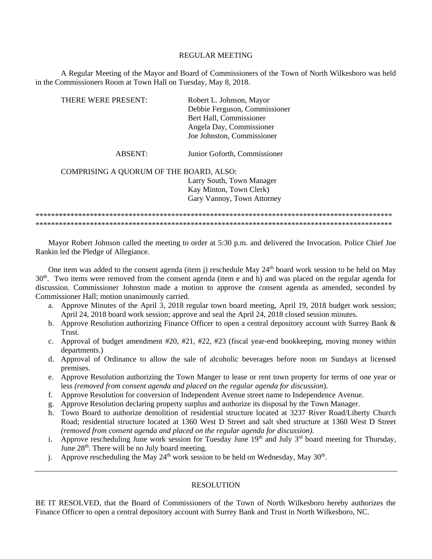#### REGULAR MEETING

A Regular Meeting of the Mayor and Board of Commissioners of the Town of North Wilkesboro was held in the Commissioners Room at Town Hall on Tuesday, May 8, 2018.

| THERE WERE PRESENT:                     | Robert L. Johnson, Mayor      |
|-----------------------------------------|-------------------------------|
|                                         | Debbie Ferguson, Commissioner |
|                                         | Bert Hall, Commissioner       |
|                                         | Angela Day, Commissioner      |
|                                         | Joe Johnston, Commissioner    |
| ABSENT:                                 | Junior Goforth, Commissioner  |
| COMPRISING A QUORUM OF THE BOARD, ALSO: |                               |
|                                         | Larry South, Town Manager     |
|                                         | Kay Minton, Town Clerk)       |
|                                         | Gary Vannoy, Town Attorney    |
|                                         |                               |

\*\*\*\*\*\*\*\*\*\*\*\*\*\*\*\*\*\*\*\*\*\*\*\*\*\*\*\*\*\*\*\*\*\*\*\*\*\*\*\*\*\*\*\*\*\*\*\*\*\*\*\*\*\*\*\*\*\*\*\*\*\*\*\*\*\*\*\*\*\*\*\*\*\*\*\*\*\*\*\*\*\*\*\*\*\*\*\*\*\*\*\* \*\*\*\*\*\*\*\*\*\*\*\*\*\*\*\*\*\*\*\*\*\*\*\*\*\*\*\*\*\*\*\*\*\*\*\*\*\*\*\*\*\*\*\*\*\*\*\*\*\*\*\*\*\*\*\*\*\*\*\*\*\*\*\*\*\*\*\*\*\*\*\*\*\*\*\*\*\*\*\*\*\*\*\*\*\*\*\*\*\*\*\*

Mayor Robert Johnson called the meeting to order at 5:30 p.m. and delivered the Invocation. Police Chief Joe Rankin led the Pledge of Allegiance.

One item was added to the consent agenda (item j) reschedule May 24<sup>th</sup> board work session to be held on May  $30<sup>th</sup>$ . Two items were removed from the consent agenda (item e and h) and was placed on the regular agenda for discussion. Commissioner Johnston made a motion to approve the consent agenda as amended, seconded by Commissioner Hall; motion unanimously carried.

- a. Approve Minutes of the April 3, 2018 regular town board meeting, April 19, 2018 budget work session; April 24, 2018 board work session; approve and seal the April 24, 2018 closed session minutes.
- b. Approve Resolution authorizing Finance Officer to open a central depository account with Surrey Bank & Trust.
- c. Approval of budget amendment  $\#20, \#21, \#22, \#23$  (fiscal year-end bookkeeping, moving money within departments.)
- d. Approval of Ordinance to allow the sale of alcoholic beverages before noon on Sundays at licensed premises.
- e. Approve Resolution authorizing the Town Manger to lease or rent town property for terms of one year or less *(removed from consent agenda and placed on the regular agenda for discussion*).
- f. Approve Resolution for conversion of Independent Avenue street name to Independence Avenue.
- g. Approve Resolution declaring property surplus and authorize its disposal by the Town Manager.
- h. Town Board to authorize demolition of residential structure located at 3237 River Road/Liberty Church Road; residential structure located at 1360 West D Street and salt shed structure at 1360 West D Street *(removed from consent agenda and placed on the regular agenda for discussion).*
- i. Approve rescheduling June work session for Tuesday June  $19<sup>th</sup>$  and July  $3<sup>rd</sup>$  board meeting for Thursday, June  $28<sup>th</sup>$ . There will be no July board meeting.
- j. Approve rescheduling the May  $24<sup>th</sup>$  work session to be held on Wednesday, May  $30<sup>th</sup>$ .

# RESOLUTION

BE IT RESOLVED, that the Board of Commissioners of the Town of North Wilkesboro hereby authorizes the Finance Officer to open a central depository account with Surrey Bank and Trust in North Wilkesboro, NC.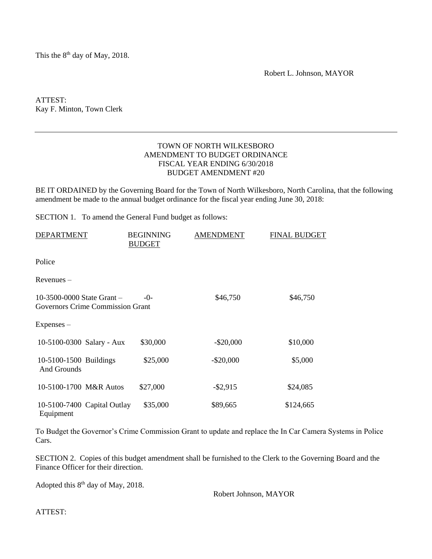This the  $8<sup>th</sup>$  day of May, 2018.

Robert L. Johnson, MAYOR

ATTEST: Kay F. Minton, Town Clerk

# TOWN OF NORTH WILKESBORO AMENDMENT TO BUDGET ORDINANCE FISCAL YEAR ENDING 6/30/2018 BUDGET AMENDMENT #20

BE IT ORDAINED by the Governing Board for the Town of North Wilkesboro, North Carolina, that the following amendment be made to the annual budget ordinance for the fiscal year ending June 30, 2018:

SECTION 1. To amend the General Fund budget as follows:

| <b>DEPARTMENT</b>                                                | <b>BEGINNING</b><br><b>BUDGET</b> | <b>AMENDMENT</b> | FINAL BUDGET |
|------------------------------------------------------------------|-----------------------------------|------------------|--------------|
| Police                                                           |                                   |                  |              |
| $Revenues -$                                                     |                                   |                  |              |
| 10-3500-0000 State Grant $-$<br>Governors Crime Commission Grant | $-0-$                             | \$46,750         | \$46,750     |
| $Expenses -$                                                     |                                   |                  |              |
| 10-5100-0300 Salary - Aux                                        | \$30,000                          | $-$ \$20,000     | \$10,000     |
| 10-5100-1500 Buildings<br>And Grounds                            | \$25,000                          | $-$ \$20,000     | \$5,000      |
| 10-5100-1700 M&R Autos                                           | \$27,000                          | $-$ \$2,915      | \$24,085     |
| 10-5100-7400 Capital Outlay<br>Equipment                         | \$35,000                          | \$89,665         | \$124,665    |

To Budget the Governor's Crime Commission Grant to update and replace the In Car Camera Systems in Police Cars.

SECTION 2. Copies of this budget amendment shall be furnished to the Clerk to the Governing Board and the Finance Officer for their direction.

Adopted this 8<sup>th</sup> day of May, 2018.

Robert Johnson, MAYOR

ATTEST: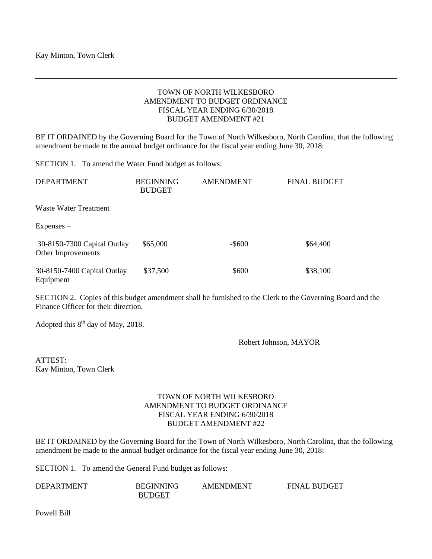# TOWN OF NORTH WILKESBORO AMENDMENT TO BUDGET ORDINANCE FISCAL YEAR ENDING 6/30/2018 BUDGET AMENDMENT #21

BE IT ORDAINED by the Governing Board for the Town of North Wilkesboro, North Carolina, that the following amendment be made to the annual budget ordinance for the fiscal year ending June 30, 2018:

SECTION 1. To amend the Water Fund budget as follows:

| <b>DEPARTMENT</b>                                 | <b>BEGINNING</b><br><b>BUDGET</b> | <b>AMENDMENT</b> | <b>FINAL BUDGET</b> |
|---------------------------------------------------|-----------------------------------|------------------|---------------------|
| Waste Water Treatment                             |                                   |                  |                     |
| $Expenses -$                                      |                                   |                  |                     |
| 30-8150-7300 Capital Outlay<br>Other Improvements | \$65,000                          | $-$ \$600        | \$64,400            |
| 30-8150-7400 Capital Outlay<br>Equipment          | \$37,500                          | \$600            | \$38,100            |

SECTION 2. Copies of this budget amendment shall be furnished to the Clerk to the Governing Board and the Finance Officer for their direction.

Adopted this 8<sup>th</sup> day of May, 2018.

Robert Johnson, MAYOR

ATTEST: Kay Minton, Town Clerk

# TOWN OF NORTH WILKESBORO AMENDMENT TO BUDGET ORDINANCE FISCAL YEAR ENDING 6/30/2018 BUDGET AMENDMENT #22

BE IT ORDAINED by the Governing Board for the Town of North Wilkesboro, North Carolina, that the following amendment be made to the annual budget ordinance for the fiscal year ending June 30, 2018:

SECTION 1. To amend the General Fund budget as follows:

| <b>DEPARTMENT</b> | <b>BEGINNING</b> | <b>AMENDMENT</b> | <b>FINAL BUDGET</b> |
|-------------------|------------------|------------------|---------------------|
|                   | BUDGET           |                  |                     |

Powell Bill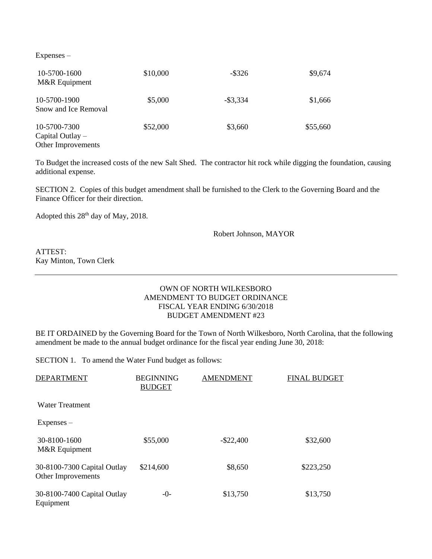Expenses –

| 10-5700-1600<br>M&R Equipment                            | \$10,000 | $-$ \$326   | \$9,674  |
|----------------------------------------------------------|----------|-------------|----------|
| 10-5700-1900<br>Snow and Ice Removal                     | \$5,000  | $-$ \$3,334 | \$1,666  |
| 10-5700-7300<br>Capital Outlay $-$<br>Other Improvements | \$52,000 | \$3,660     | \$55,660 |

To Budget the increased costs of the new Salt Shed. The contractor hit rock while digging the foundation, causing additional expense.

SECTION 2. Copies of this budget amendment shall be furnished to the Clerk to the Governing Board and the Finance Officer for their direction.

Adopted this 28<sup>th</sup> day of May, 2018.

Robert Johnson, MAYOR

ATTEST: Kay Minton, Town Clerk

# OWN OF NORTH WILKESBORO AMENDMENT TO BUDGET ORDINANCE FISCAL YEAR ENDING 6/30/2018 BUDGET AMENDMENT #23

BE IT ORDAINED by the Governing Board for the Town of North Wilkesboro, North Carolina, that the following amendment be made to the annual budget ordinance for the fiscal year ending June 30, 2018:

SECTION 1. To amend the Water Fund budget as follows:

| <b>DEPARTMENT</b>                                 | <b>BEGINNING</b><br><b>BUDGET</b> | <b>AMENDMENT</b> | <b>FINAL BUDGET</b> |
|---------------------------------------------------|-----------------------------------|------------------|---------------------|
| <b>Water Treatment</b>                            |                                   |                  |                     |
| $Expenses -$                                      |                                   |                  |                     |
| 30-8100-1600<br>M&R Equipment                     | \$55,000                          | $-$ \$22,400     | \$32,600            |
| 30-8100-7300 Capital Outlay<br>Other Improvements | \$214,600                         | \$8,650          | \$223,250           |
| 30-8100-7400 Capital Outlay<br>Equipment          | $-0-$                             | \$13,750         | \$13,750            |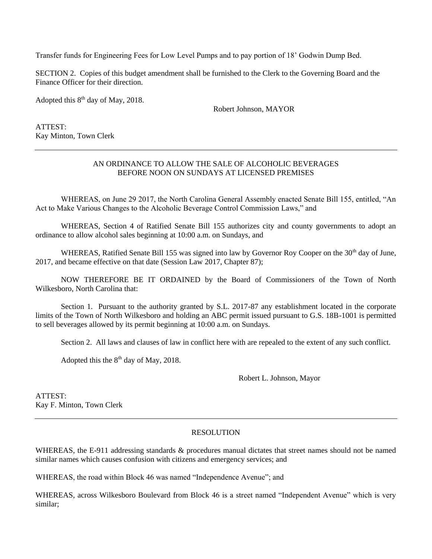Transfer funds for Engineering Fees for Low Level Pumps and to pay portion of 18' Godwin Dump Bed.

SECTION 2. Copies of this budget amendment shall be furnished to the Clerk to the Governing Board and the Finance Officer for their direction.

Adopted this  $8<sup>th</sup>$  day of May, 2018.

Robert Johnson, MAYOR

ATTEST: Kay Minton, Town Clerk

### AN ORDINANCE TO ALLOW THE SALE OF ALCOHOLIC BEVERAGES BEFORE NOON ON SUNDAYS AT LICENSED PREMISES

WHEREAS, on June 29 2017, the North Carolina General Assembly enacted Senate Bill 155, entitled, "An Act to Make Various Changes to the Alcoholic Beverage Control Commission Laws," and

WHEREAS, Section 4 of Ratified Senate Bill 155 authorizes city and county governments to adopt an ordinance to allow alcohol sales beginning at 10:00 a.m. on Sundays, and

WHEREAS, Ratified Senate Bill 155 was signed into law by Governor Roy Cooper on the  $30<sup>th</sup>$  day of June, 2017, and became effective on that date (Session Law 2017, Chapter 87);

NOW THEREFORE BE IT ORDAINED by the Board of Commissioners of the Town of North Wilkesboro, North Carolina that:

Section 1. Pursuant to the authority granted by S.L. 2017-87 any establishment located in the corporate limits of the Town of North Wilkesboro and holding an ABC permit issued pursuant to G.S. 18B-1001 is permitted to sell beverages allowed by its permit beginning at 10:00 a.m. on Sundays.

Section 2. All laws and clauses of law in conflict here with are repealed to the extent of any such conflict.

Adopted this the  $8<sup>th</sup>$  day of May, 2018.

Robert L. Johnson, Mayor

ATTEST: Kay F. Minton, Town Clerk

# **RESOLUTION**

WHEREAS, the E-911 addressing standards  $\&$  procedures manual dictates that street names should not be named similar names which causes confusion with citizens and emergency services; and

WHEREAS, the road within Block 46 was named "Independence Avenue"; and

WHEREAS, across Wilkesboro Boulevard from Block 46 is a street named "Independent Avenue" which is very similar;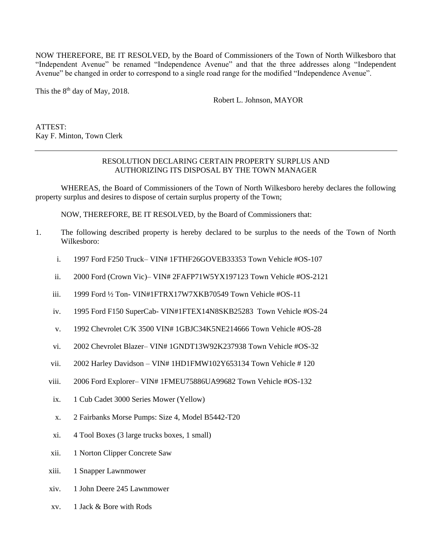NOW THEREFORE, BE IT RESOLVED, by the Board of Commissioners of the Town of North Wilkesboro that "Independent Avenue" be renamed "Independence Avenue" and that the three addresses along "Independent Avenue" be changed in order to correspond to a single road range for the modified "Independence Avenue".

This the  $8<sup>th</sup>$  day of May, 2018.

Robert L. Johnson, MAYOR

ATTEST: Kay F. Minton, Town Clerk

### RESOLUTION DECLARING CERTAIN PROPERTY SURPLUS AND AUTHORIZING ITS DISPOSAL BY THE TOWN MANAGER

WHEREAS, the Board of Commissioners of the Town of North Wilkesboro hereby declares the following property surplus and desires to dispose of certain surplus property of the Town;

NOW, THEREFORE, BE IT RESOLVED, by the Board of Commissioners that:

- 1. The following described property is hereby declared to be surplus to the needs of the Town of North Wilkesboro:
	- i. 1997 Ford F250 Truck– VIN# 1FTHF26GOVEB33353 Town Vehicle #OS-107
	- ii. 2000 Ford (Crown Vic)– VIN# 2FAFP71W5YX197123 Town Vehicle #OS-2121
	- iii. 1999 Ford ½ Ton- VIN#1FTRX17W7XKB70549 Town Vehicle #OS-11
	- iv. 1995 Ford F150 SuperCab- VIN#1FTEX14N8SKB25283 Town Vehicle #OS-24
	- v. 1992 Chevrolet C/K 3500 VIN# 1GBJC34K5NE214666 Town Vehicle #OS-28
	- vi. 2002 Chevrolet Blazer– VIN# 1GNDT13W92K237938 Town Vehicle #OS-32
	- vii. 2002 Harley Davidson VIN# 1HD1FMW102Y653134 Town Vehicle # 120
	- viii. 2006 Ford Explorer– VIN# 1FMEU75886UA99682 Town Vehicle #OS-132
	- ix. 1 Cub Cadet 3000 Series Mower (Yellow)
	- x. 2 Fairbanks Morse Pumps: Size 4, Model B5442-T20
	- xi. 4 Tool Boxes (3 large trucks boxes, 1 small)
	- xii. 1 Norton Clipper Concrete Saw
	- xiii. 1 Snapper Lawnmower
	- xiv. 1 John Deere 245 Lawnmower
	- xv. 1 Jack & Bore with Rods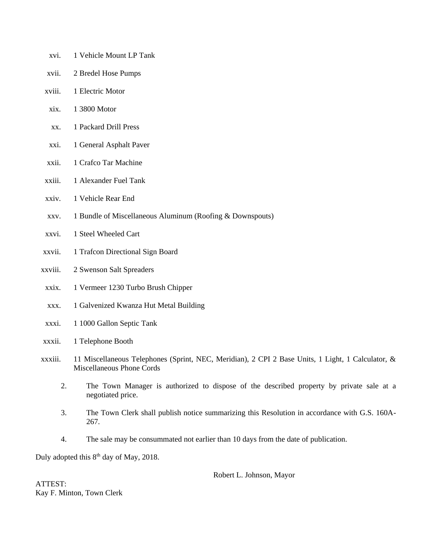- xvi. 1 Vehicle Mount LP Tank
- xvii. 2 Bredel Hose Pumps
- xviii. 1 Electric Motor
- xix. 1 3800 Motor
- xx. 1 Packard Drill Press
- xxi. 1 General Asphalt Paver
- xxii. 1 Crafco Tar Machine
- xxiii. 1 Alexander Fuel Tank
- xxiv. 1 Vehicle Rear End
- xxv. 1 Bundle of Miscellaneous Aluminum (Roofing & Downspouts)
- xxvi. 1 Steel Wheeled Cart
- xxvii. 1 Trafcon Directional Sign Board
- xxviii. 2 Swenson Salt Spreaders
- xxix. 1 Vermeer 1230 Turbo Brush Chipper
- xxx. 1 Galvenized Kwanza Hut Metal Building
- xxxi. 1 1000 Gallon Septic Tank
- xxxii. 1 Telephone Booth
- xxxiii. 11 Miscellaneous Telephones (Sprint, NEC, Meridian), 2 CPI 2 Base Units, 1 Light, 1 Calculator, & Miscellaneous Phone Cords
	- 2. The Town Manager is authorized to dispose of the described property by private sale at a negotiated price.
	- 3. The Town Clerk shall publish notice summarizing this Resolution in accordance with G.S. 160A-267.
	- 4. The sale may be consummated not earlier than 10 days from the date of publication.

Duly adopted this  $8<sup>th</sup>$  day of May, 2018.

Robert L. Johnson, Mayor

ATTEST: Kay F. Minton, Town Clerk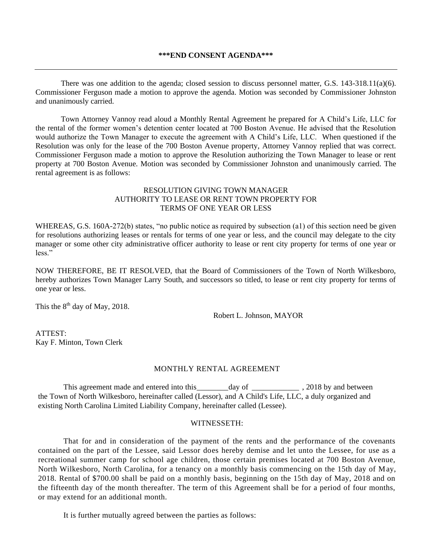There was one addition to the agenda; closed session to discuss personnel matter, G.S. 143-318.11(a)(6). Commissioner Ferguson made a motion to approve the agenda. Motion was seconded by Commissioner Johnston and unanimously carried.

Town Attorney Vannoy read aloud a Monthly Rental Agreement he prepared for A Child's Life, LLC for the rental of the former women's detention center located at 700 Boston Avenue. He advised that the Resolution would authorize the Town Manager to execute the agreement with A Child's Life, LLC. When questioned if the Resolution was only for the lease of the 700 Boston Avenue property, Attorney Vannoy replied that was correct. Commissioner Ferguson made a motion to approve the Resolution authorizing the Town Manager to lease or rent property at 700 Boston Avenue. Motion was seconded by Commissioner Johnston and unanimously carried. The rental agreement is as follows:

# RESOLUTION GIVING TOWN MANAGER AUTHORITY TO LEASE OR RENT TOWN PROPERTY FOR TERMS OF ONE YEAR OR LESS

WHEREAS, G.S. 160A-272(b) states, "no public notice as required by subsection (a1) of this section need be given for resolutions authorizing leases or rentals for terms of one year or less, and the council may delegate to the city manager or some other city administrative officer authority to lease or rent city property for terms of one year or less."

NOW THEREFORE, BE IT RESOLVED, that the Board of Commissioners of the Town of North Wilkesboro, hereby authorizes Town Manager Larry South, and successors so titled, to lease or rent city property for terms of one year or less.

This the  $8<sup>th</sup>$  day of May, 2018.

Robert L. Johnson, MAYOR

ATTEST: Kay F. Minton, Town Clerk

#### MONTHLY RENTAL AGREEMENT

This agreement made and entered into this\_\_\_\_\_\_\_\_day of \_\_\_\_\_\_\_\_\_\_\_\_\_\_\_\_, 2018 by and between the Town of North Wilkesboro, hereinafter called (Lessor), and A Child's Life, LLC, a duly organized and existing North Carolina Limited Liability Company, hereinafter called (Lessee).

#### WITNESSETH:

That for and in consideration of the payment of the rents and the performance of the covenants contained on the part of the Lessee, said Lessor does hereby demise and let unto the Lessee, for use as a recreational summer camp for school age children, those certain premises located at 700 Boston Avenue, North Wilkesboro, North Carolina, for a tenancy on a monthly basis commencing on the 15th day of May, 2018. Rental of \$700.00 shall be paid on a monthly basis, beginning on the 15th day of May, 2018 and on the fifteenth day of the month thereafter. The term of this Agreement shall be for a period of four months, or may extend for an additional month.

It is further mutually agreed between the parties as follows: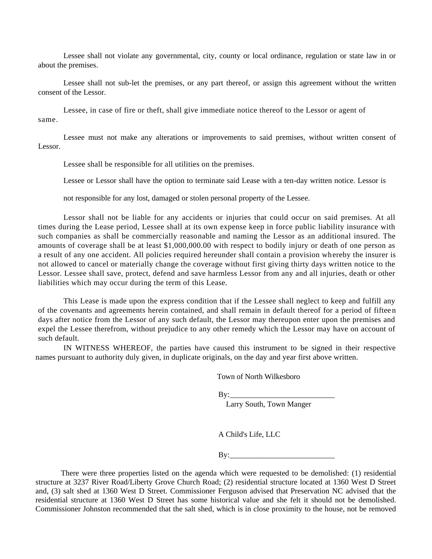Lessee shall not violate any governmental, city, county or local ordinance, regulation or state law in or about the premises.

Lessee shall not sub-let the premises, or any part thereof, or assign this agreement without the written consent of the Lessor.

Lessee, in case of fire or theft, shall give immediate notice thereof to the Lessor or agent of same.

Lessee must not make any alterations or improvements to said premises, without written consent of Lessor.

Lessee shall be responsible for all utilities on the premises.

Lessee or Lessor shall have the option to terminate said Lease with a ten-day written notice. Lessor is

not responsible for any lost, damaged or stolen personal property of the Lessee.

Lessor shall not be liable for any accidents or injuries that could occur on said premises. At all times during the Lease period, Lessee shall at its own expense keep in force public liability insurance with such companies as shall be commercially reasonable and naming the Lessor as an additional insured. The amounts of coverage shall be at least \$1,000,000.00 with respect to bodily injury or death of one person as a result of any one accident. All policies required hereunder shall contain a provision whereby the insurer is not allowed to cancel or materially change the coverage without first giving thirty days written notice to the Lessor. Lessee shall save, protect, defend and save harmless Lessor from any and all injuries, death or other liabilities which may occur during the term of this Lease.

This Lease is made upon the express condition that if the Lessee shall neglect to keep and fulfill any of the covenants and agreements herein contained, and shall remain in default thereof for a period of fiftee n days after notice from the Lessor of any such default, the Lessor may thereupon enter upon the premises and expel the Lessee therefrom, without prejudice to any other remedy which the Lessor may have on account of such default.

IN WITNESS WHEREOF, the parties have caused this instrument to be signed in their respective names pursuant to authority duly given, in duplicate originals, on the day and year first above written.

Town of North Wilkesboro

 $Bv:$ 

Larry South, Town Manger

A Child's Life, LLC

 $\mathbf{By:}$ 

There were three properties listed on the agenda which were requested to be demolished: (1) residential structure at 3237 River Road/Liberty Grove Church Road; (2) residential structure located at 1360 West D Street and, (3) salt shed at 1360 West D Street. Commissioner Ferguson advised that Preservation NC advised that the residential structure at 1360 West D Street has some historical value and she felt it should not be demolished. Commissioner Johnston recommended that the salt shed, which is in close proximity to the house, not be removed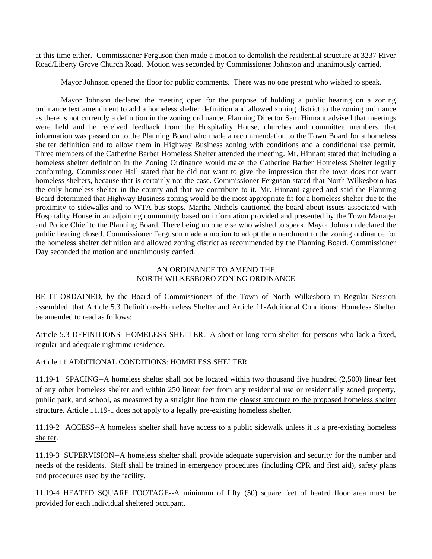at this time either. Commissioner Ferguson then made a motion to demolish the residential structure at 3237 River Road/Liberty Grove Church Road. Motion was seconded by Commissioner Johnston and unanimously carried.

Mayor Johnson opened the floor for public comments. There was no one present who wished to speak.

Mayor Johnson declared the meeting open for the purpose of holding a public hearing on a zoning ordinance text amendment to add a homeless shelter definition and allowed zoning district to the zoning ordinance as there is not currently a definition in the zoning ordinance. Planning Director Sam Hinnant advised that meetings were held and he received feedback from the Hospitality House, churches and committee members, that information was passed on to the Planning Board who made a recommendation to the Town Board for a homeless shelter definition and to allow them in Highway Business zoning with conditions and a conditional use permit. Three members of the Catherine Barber Homeless Shelter attended the meeting. Mr. Hinnant stated that including a homeless shelter definition in the Zoning Ordinance would make the Catherine Barber Homeless Shelter legally conforming. Commissioner Hall stated that he did not want to give the impression that the town does not want homeless shelters, because that is certainly not the case. Commissioner Ferguson stated that North Wilkesboro has the only homeless shelter in the county and that we contribute to it. Mr. Hinnant agreed and said the Planning Board determined that Highway Business zoning would be the most appropriate fit for a homeless shelter due to the proximity to sidewalks and to WTA bus stops. Martha Nichols cautioned the board about issues associated with Hospitality House in an adjoining community based on information provided and presented by the Town Manager and Police Chief to the Planning Board. There being no one else who wished to speak, Mayor Johnson declared the public hearing closed. Commissioner Ferguson made a motion to adopt the amendment to the zoning ordinance for the homeless shelter definition and allowed zoning district as recommended by the Planning Board. Commissioner Day seconded the motion and unanimously carried.

# AN ORDINANCE TO AMEND THE NORTH WILKESBORO ZONING ORDINANCE

BE IT ORDAINED, by the Board of Commissioners of the Town of North Wilkesboro in Regular Session assembled, that Article 5.3 Definitions-Homeless Shelter and Article 11-Additional Conditions: Homeless Shelter be amended to read as follows:

Article 5.3 DEFINITIONS--HOMELESS SHELTER. A short or long term shelter for persons who lack a fixed, regular and adequate nighttime residence.

Article 11 ADDITIONAL CONDITIONS: HOMELESS SHELTER

11.19-1 SPACING--A homeless shelter shall not be located within two thousand five hundred (2,500) linear feet of any other homeless shelter and within 250 linear feet from any residential use or residentially zoned property, public park, and school, as measured by a straight line from the closest structure to the proposed homeless shelter structure. Article 11.19-1 does not apply to a legally pre-existing homeless shelter.

11.19-2 ACCESS--A homeless shelter shall have access to a public sidewalk unless it is a pre-existing homeless shelter.

11.19-3 SUPERVISION--A homeless shelter shall provide adequate supervision and security for the number and needs of the residents. Staff shall be trained in emergency procedures (including CPR and first aid), safety plans and procedures used by the facility.

11.19-4 HEATED SQUARE FOOTAGE--A minimum of fifty (50) square feet of heated floor area must be provided for each individual sheltered occupant.